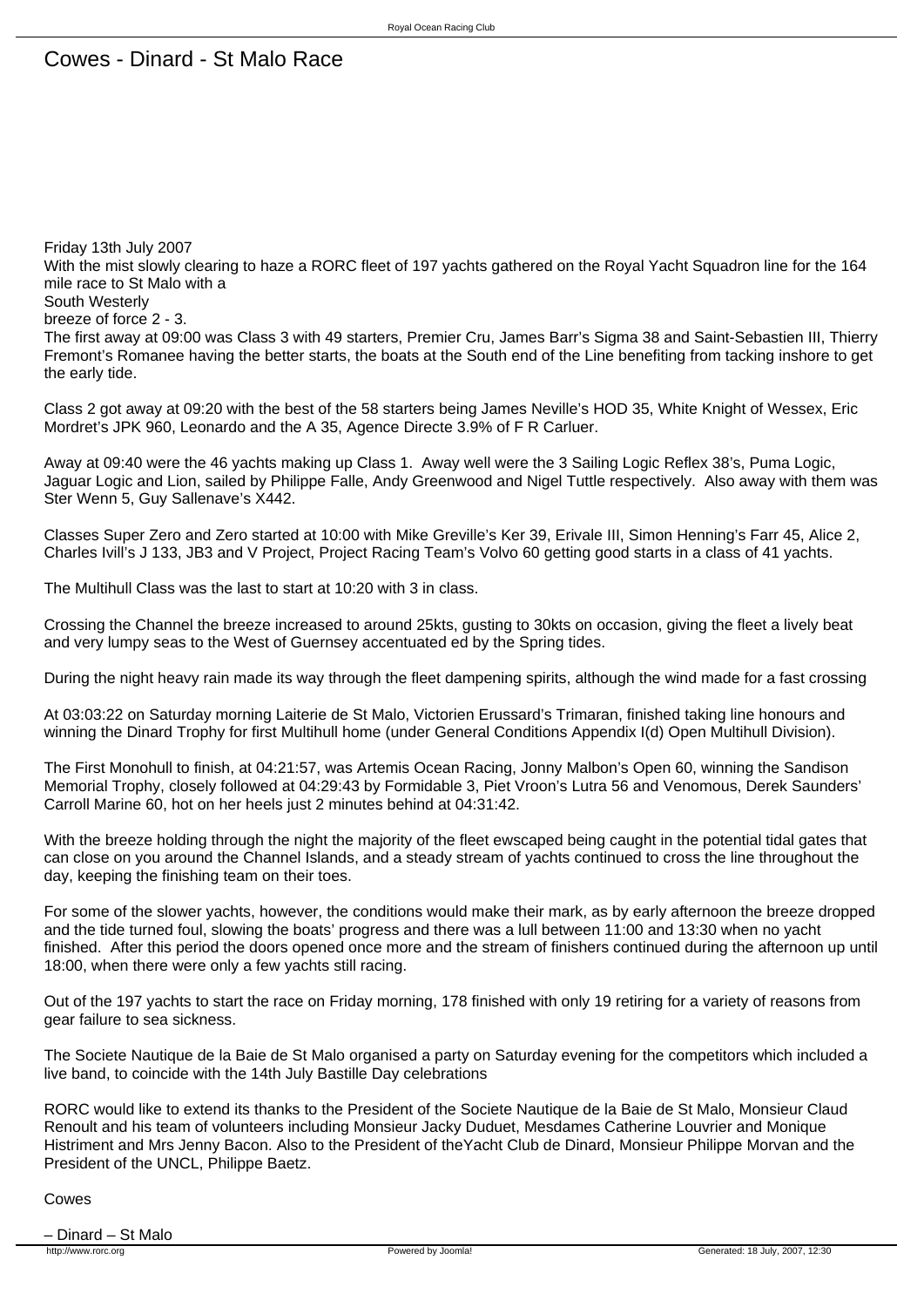Friday 13th July 2007 With the mist slowly clearing to haze a RORC fleet of 197 yachts gathered on the Royal Yacht Squadron line for the 164 mile race to St Malo with a South Westerly breeze of force 2 - 3. The first away at 09:00 was Class 3 with 49 starters, Premier Cru, James Barr's Sigma 38 and Saint-Sebastien III, Thierry Fremont's Romanee having the better starts, the boats at the South end of the Line benefiting from tacking inshore to get the early tide.

Class 2 got away at 09:20 with the best of the 58 starters being James Neville's HOD 35, White Knight of Wessex, Eric Mordret's JPK 960, Leonardo and the A 35, Agence Directe 3.9% of F R Carluer.

Away at 09:40 were the 46 yachts making up Class 1. Away well were the 3 Sailing Logic Reflex 38's, Puma Logic, Jaguar Logic and Lion, sailed by Philippe Falle, Andy Greenwood and Nigel Tuttle respectively. Also away with them was Ster Wenn 5, Guy Sallenave's X442.

Classes Super Zero and Zero started at 10:00 with Mike Greville's Ker 39, Erivale III, Simon Henning's Farr 45, Alice 2, Charles Ivill's J 133, JB3 and V Project, Project Racing Team's Volvo 60 getting good starts in a class of 41 yachts.

The Multihull Class was the last to start at 10:20 with 3 in class.

Crossing the Channel the breeze increased to around 25kts, gusting to 30kts on occasion, giving the fleet a lively beat and very lumpy seas to the West of Guernsey accentuated ed by the Spring tides.

During the night heavy rain made its way through the fleet dampening spirits, although the wind made for a fast crossing

At 03:03:22 on Saturday morning Laiterie de St Malo, Victorien Erussard's Trimaran, finished taking line honours and winning the Dinard Trophy for first Multihull home (under General Conditions Appendix I(d) Open Multihull Division).

The First Monohull to finish, at 04:21:57, was Artemis Ocean Racing, Jonny Malbon's Open 60, winning the Sandison Memorial Trophy, closely followed at 04:29:43 by Formidable 3, Piet Vroon's Lutra 56 and Venomous, Derek Saunders' Carroll Marine 60, hot on her heels just 2 minutes behind at 04:31:42.

With the breeze holding through the night the majority of the fleet ewscaped being caught in the potential tidal gates that can close on you around the Channel Islands, and a steady stream of yachts continued to cross the line throughout the day, keeping the finishing team on their toes.

For some of the slower yachts, however, the conditions would make their mark, as by early afternoon the breeze dropped and the tide turned foul, slowing the boats' progress and there was a lull between 11:00 and 13:30 when no yacht finished. After this period the doors opened once more and the stream of finishers continued during the afternoon up until 18:00, when there were only a few yachts still racing.

Out of the 197 yachts to start the race on Friday morning, 178 finished with only 19 retiring for a variety of reasons from gear failure to sea sickness.

The Societe Nautique de la Baie de St Malo organised a party on Saturday evening for the competitors which included a live band, to coincide with the 14th July Bastille Day celebrations

RORC would like to extend its thanks to the President of the Societe Nautique de la Baie de St Malo, Monsieur Claud Renoult and his team of volunteers including Monsieur Jacky Duduet, Mesdames Catherine Louvrier and Monique Histriment and Mrs Jenny Bacon. Also to the President of theYacht Club de Dinard, Monsieur Philippe Morvan and the President of the UNCL, Philippe Baetz.

## Cowes

– Dinard – St Malo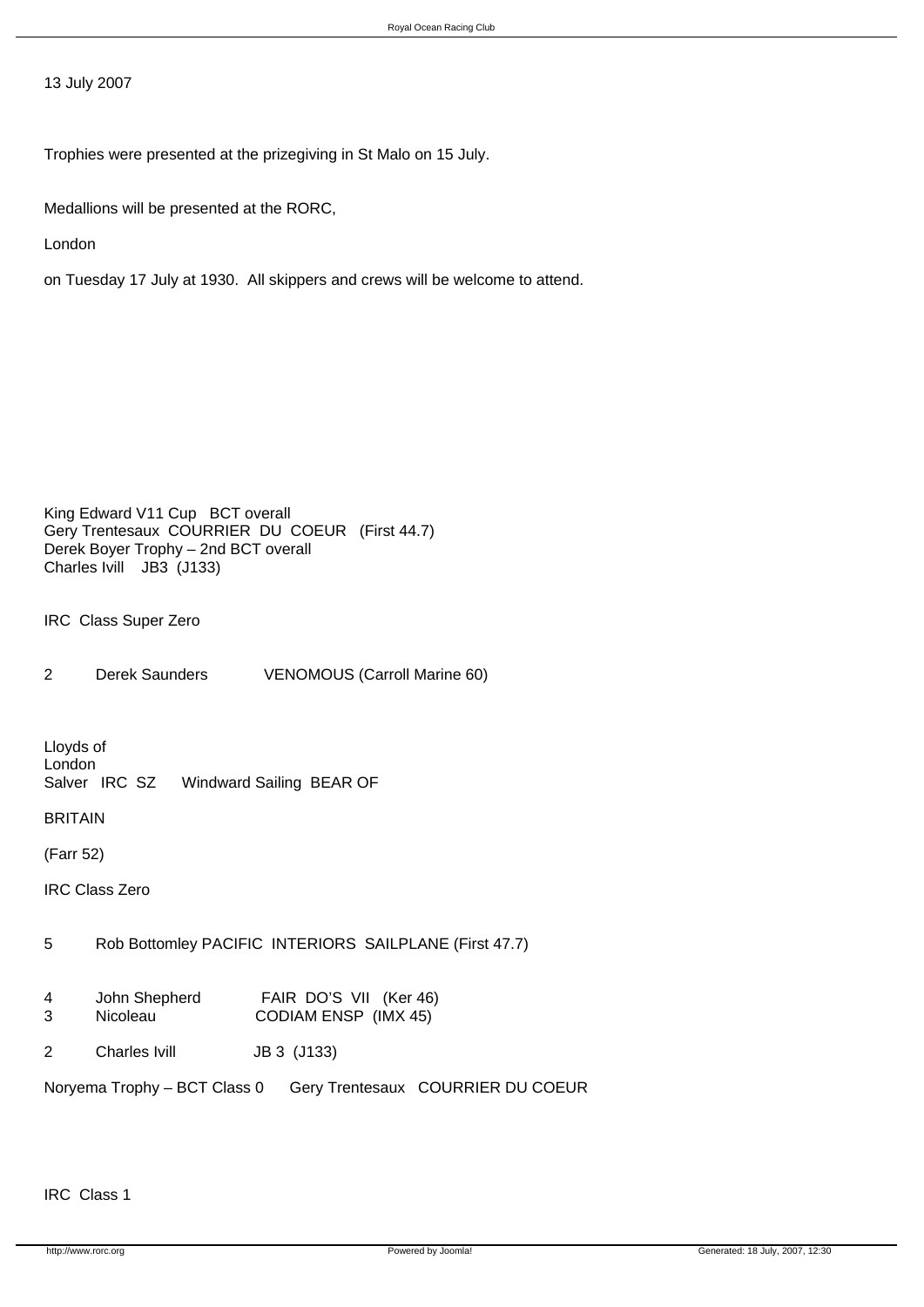13 July 2007

Trophies were presented at the prizegiving in St Malo on 15 July.

Medallions will be presented at the RORC,

London

on Tuesday 17 July at 1930. All skippers and crews will be welcome to attend.

King Edward V11 Cup BCT overall Gery Trentesaux COURRIER DU COEUR (First 44.7) Derek Boyer Trophy – 2nd BCT overall Charles Ivill JB3 (J133)

IRC Class Super Zero

2 Derek Saunders VENOMOUS (Carroll Marine 60)

Lloyds of London<br>Salver IRC SZ Windward Sailing BEAR OF

BRITAIN

(Farr 52)

IRC Class Zero

5 Rob Bottomley PACIFIC INTERIORS SAILPLANE (First 47.7)

- 4 John Shepherd FAIR DO'S VII (Ker 46)<br>3 Nicoleau CODIAM ENSP (IMX 45) 3 Nicoleau CODIAM ENSP (IMX 45)
- 2 Charles Ivill JB 3 (J133)

Noryema Trophy – BCT Class 0 Gery Trentesaux COURRIER DU COEUR

IRC Class 1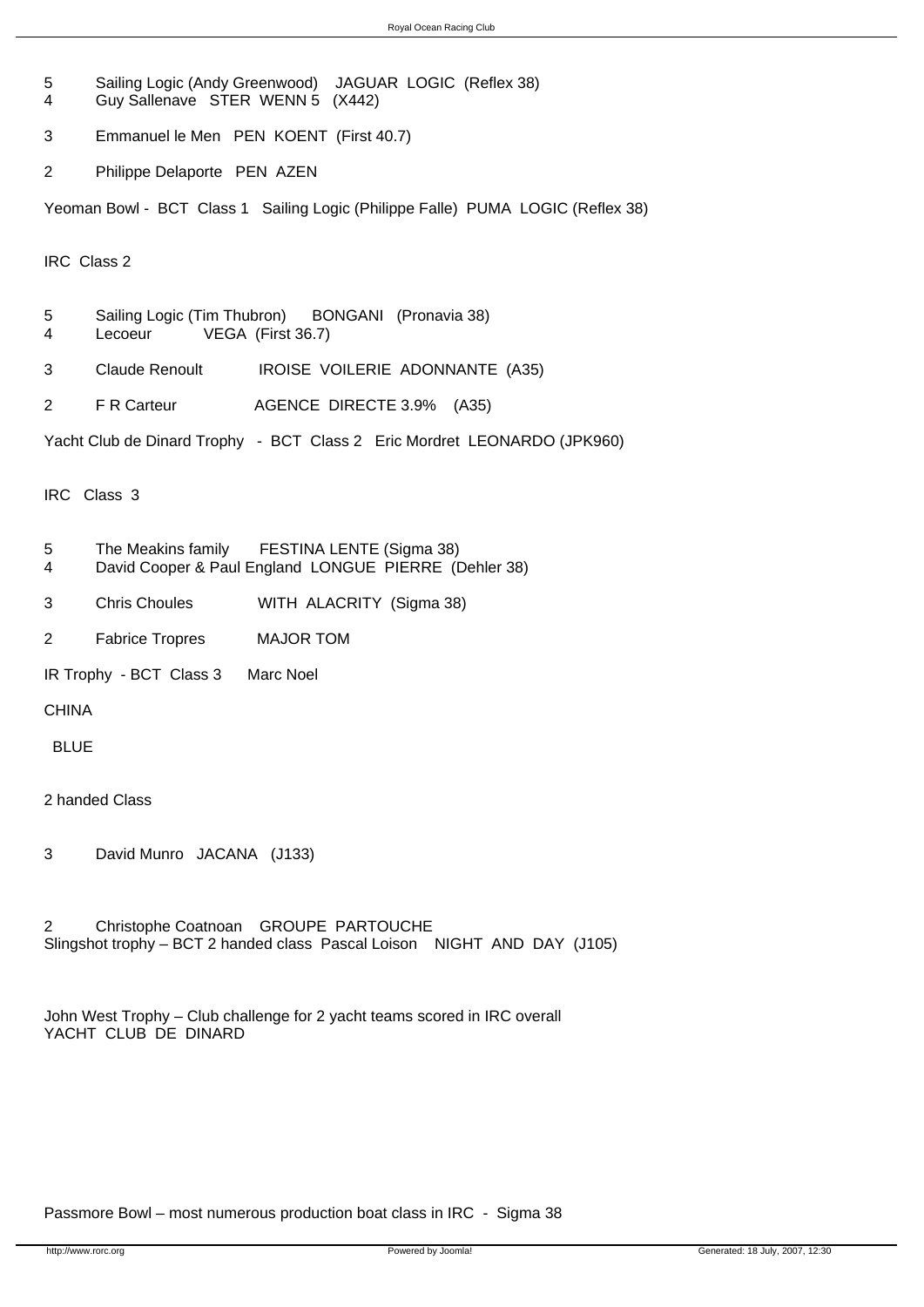- 5 Sailing Logic (Andy Greenwood) JAGUAR LOGIC (Reflex 38) 4 Guy Sallenave STER WENN 5 (X442)
- 3 Emmanuel le Men PEN KOENT (First 40.7)
- 2 Philippe Delaporte PEN AZEN

Yeoman Bowl - BCT Class 1 Sailing Logic (Philippe Falle) PUMA LOGIC (Reflex 38)

IRC Class 2

- 5 Sailing Logic (Tim Thubron) BONGANI (Pronavia 38)
- 4 Lecoeur VEGA (First 36.7)
- 3 Claude Renoult IROISE VOILERIE ADONNANTE (A35)
- 2 F R Carteur AGENCE DIRECTE 3.9% (A35)

Yacht Club de Dinard Trophy - BCT Class 2 Eric Mordret LEONARDO (JPK960)

IRC Class 3

- 5 The Meakins family FESTINA LENTE (Sigma 38)
- 4 David Cooper & Paul England LONGUE PIERRE (Dehler 38)
- 3 Chris Choules WITH ALACRITY (Sigma 38)
- 2 Fabrice Tropres MAJOR TOM

IR Trophy - BCT Class 3 Marc Noel

CHINA

BLUE

2 handed Class

3 David Munro JACANA (J133)

2 Christophe Coatnoan GROUPE PARTOUCHE Slingshot trophy – BCT 2 handed class Pascal Loison NIGHT AND DAY (J105)

```
John West Trophy – Club challenge for 2 yacht teams scored in IRC overall

YACHT CLUB DE DINARD
```
## Passmore Bowl – most numerous production boat class in IRC - Sigma 38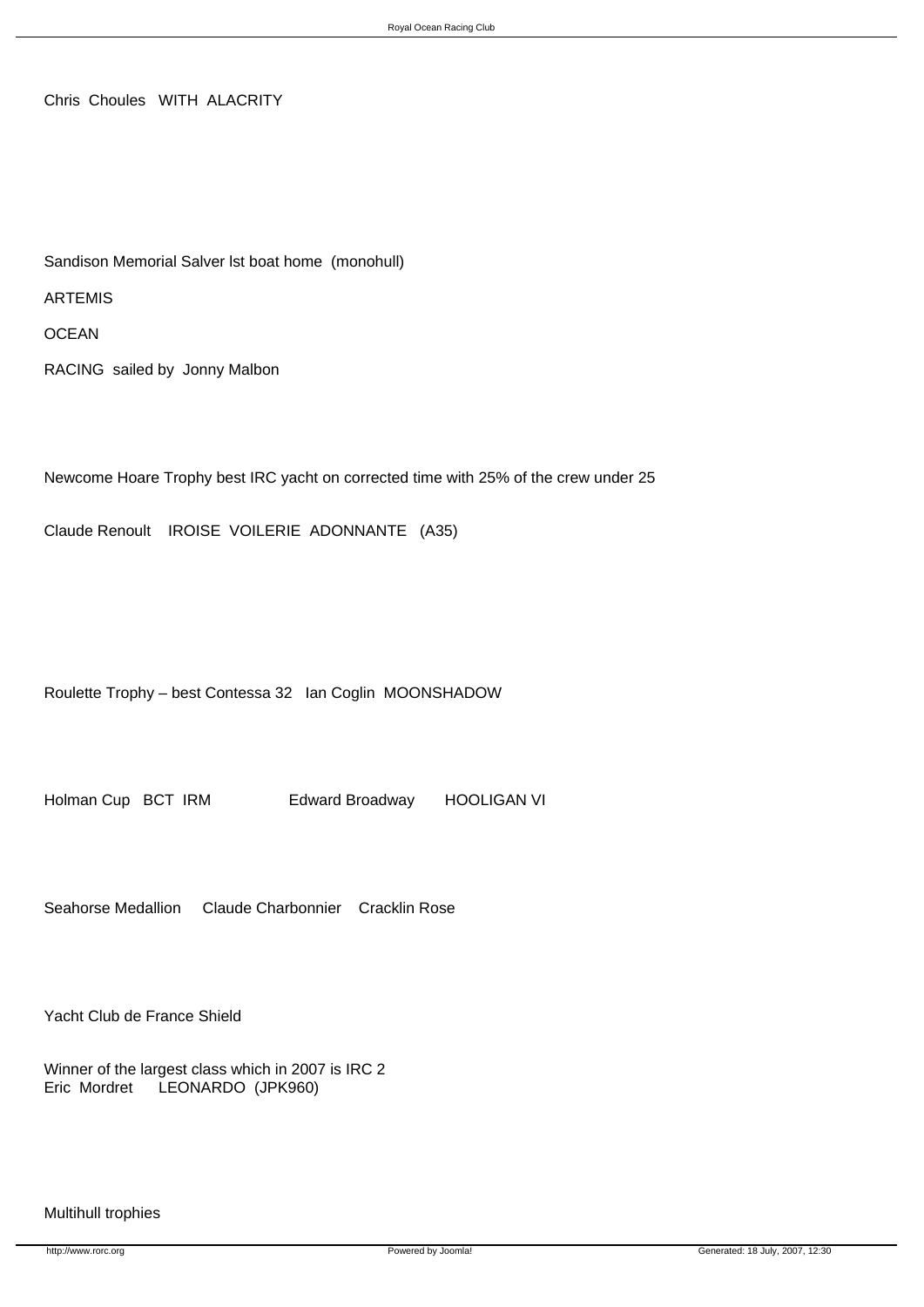Chris Choules WITH ALACRITY

Sandison Memorial Salver lst boat home (monohull)

ARTEMIS

**OCEAN** 

RACING sailed by Jonny Malbon

Newcome Hoare Trophy best IRC yacht on corrected time with 25% of the crew under 25

Claude Renoult IROISE VOILERIE ADONNANTE (A35)

Roulette Trophy – best Contessa 32 Ian Coglin MOONSHADOW

Holman Cup BCT IRM Edward Broadway HOOLIGAN VI

Seahorse Medallion Claude Charbonnier Cracklin Rose

Yacht Club de France Shield

Winner of the largest class which in 2007 is IRC 2 Eric Mordret LEONARDO (JPK960)

## Multihull trophies